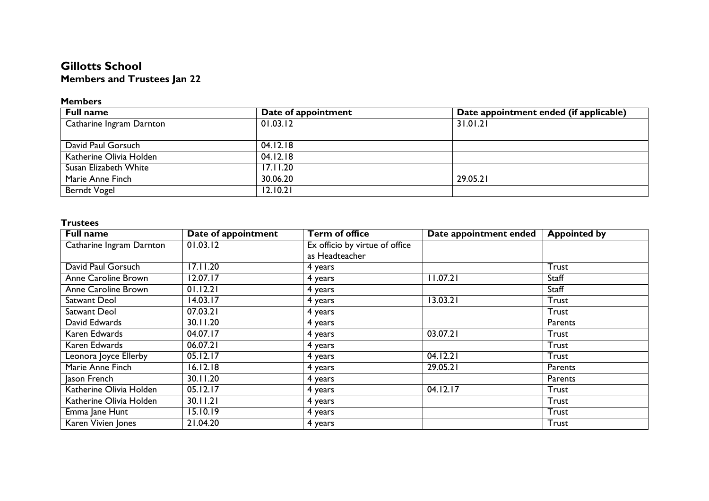## **Gillotts School Members and Trustees Jan 22**

## **Members**

| <b>Full name</b>         | Date of appointment | Date appointment ended (if applicable) |
|--------------------------|---------------------|----------------------------------------|
| Catharine Ingram Darnton | 01.03.12            | 31.01.21                               |
|                          |                     |                                        |
| David Paul Gorsuch       | 04.12.18            |                                        |
| Katherine Olivia Holden  | 04.12.18            |                                        |
| Susan Elizabeth White    | 17.11.20            |                                        |
| Marie Anne Finch         | 30.06.20            | 29.05.21                               |
| <b>Berndt Vogel</b>      | 12.10.21            |                                        |

## **Trustees**

| <b>Full name</b>         | Date of appointment | <b>Term of office</b>          | Date appointment ended | <b>Appointed by</b> |
|--------------------------|---------------------|--------------------------------|------------------------|---------------------|
| Catharine Ingram Darnton | 01.03.12            | Ex officio by virtue of office |                        |                     |
|                          |                     | as Headteacher                 |                        |                     |
| David Paul Gorsuch       | 17.11.20            | 4 years                        |                        | Trust               |
| Anne Caroline Brown      | 12.07.17            | 4 years                        | 11.07.21               | Staff               |
| Anne Caroline Brown      | 01.12.21            | 4 years                        |                        | Staff               |
| Satwant Deol             | 14.03.17            | 4 years                        | 13.03.21               | Trust               |
| Satwant Deol             | 07.03.21            | 4 years                        |                        | <b>Trust</b>        |
| David Edwards            | 30.11.20            | 4 years                        |                        | Parents             |
| Karen Edwards            | 04.07.17            | 4 years                        | 03.07.21               | <b>Trust</b>        |
| Karen Edwards            | 06.07.21            | 4 years                        |                        | Trust               |
| Leonora Joyce Ellerby    | 05.12.17            | 4 years                        | 04.12.21               | Trust               |
| Marie Anne Finch         | 16.12.18            | 4 years                        | 29.05.21               | Parents             |
| Jason French             | 30.11.20            | 4 years                        |                        | Parents             |
| Katherine Olivia Holden  | 05.12.17            | 4 years                        | 04.12.17               | Trust               |
| Katherine Olivia Holden  | 30.11.21            | 4 years                        |                        | Trust               |
| Emma Jane Hunt           | 15.10.19            | 4 years                        |                        | Trust               |
| Karen Vivien Jones       | 21.04.20            | 4 years                        |                        | Trust               |